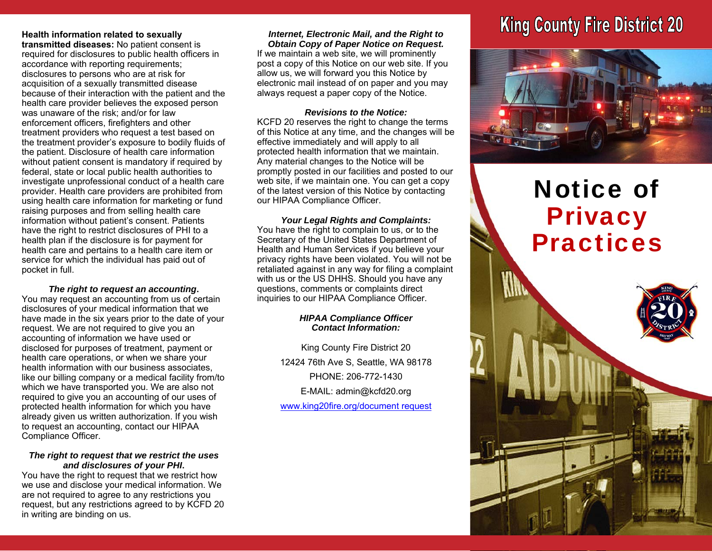### **Health information related to sexually**

**transmitted diseases:** No patient consent is required for disclosures to public health officers in accordance with reporting requirements; disclosures to persons who are at risk for acquisition of a sexually transmitted disease because of their interaction with the patient and the health care provider believes the exposed person was unaware of the risk; and/or for law enforcement officers, firefighters and other treatment providers who request a test based on the treatment provider's exposure to bodily fluids of the patient. Disclosure of health care information without patient consent is mandatory if required by federal, state or local public health authorities to investigate unprofessional conduct of a health care provider. Health care providers are prohibited from using health care information for marketing or fund raising purposes and from selling health care information without patient's consent. Patients have the right to restrict disclosures of PHI to a health plan if the disclosure is for payment for health care and pertains to a health care item or service for which the individual has paid out of pocket in full.

### *The right to request an accounting***.**

You may request an accounting from us of certain disclosures of your medical information that we have made in the six years prior to the date of your request. We are not required to give you an accounting of information we have used or disclosed for purposes of treatment, payment or health care operations, or when we share your health information with our business associates like our billing company or a medical facility from/to which we have transported you. We are also not required to give you an accounting of our uses of protected health information for which you have already given us written authorization. If you wish to request an accounting, contact our HIPAA Compliance Officer.

#### *The right to request that we restrict the uses and disclosures of your PHI***.**

You have the right to request that we restrict how we use and disclose your medical information. We are not required to agree to any restrictions you request, but any restrictions agreed to by KCFD 20 in writing are binding on us.

*Internet, Electronic Mail, and the Right to Obtain Copy of Paper Notice on Request.*  If we maintain a web site, we will prominently post a copy of this Notice on our web site. If you allow us, we will forward you this Notice by electronic mail instead of on paper and you may always request a paper copy of the Notice.

### *Revisions to the Notice:*

KCFD 20 reserves the right to change the terms of this Notice at any time, and the changes will be effective immediately and will apply to all protected health information that we maintain. Any material changes to the Notice will be promptly posted in our facilities and posted to our web site, if we maintain one. You can get a copy of the latest version of this Notice by contacting our HIPAA Compliance Officer.

*Your Legal Rights and Complaints:*  You have the right to complain to us, or to the Secretary of the United States Department of Health and Human Services if you believe your privacy rights have been violated. You will not be retaliated against in any way for filing a complaint with us or the US DHHS. Should you have any questions, comments or complaints direct inquiries to our HIPAA Compliance Officer.

### *HIPAA Compliance Officer Contact Information:*

King County Fire District 20 12424 76th Ave S, Seattle, WA 98178 PHONE: 206-772-1430 E-MAIL: admin@kcfd20.org www.king20fire.org/document request

## **King County Fire District 20**



# Notice of **Privacy** Practices